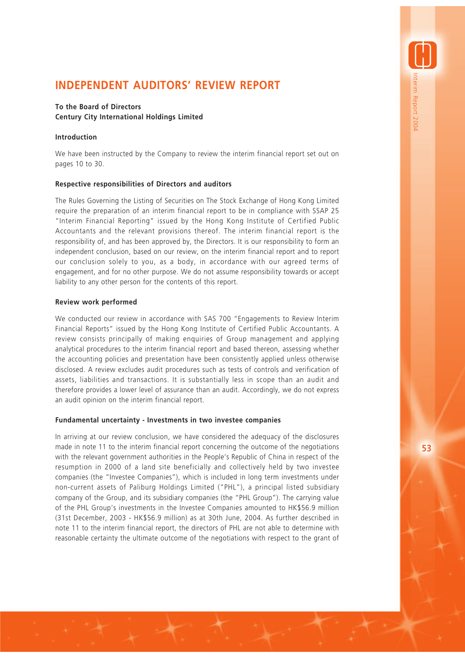# **INDEPENDENT AUDITORS' REVIEW REPORT**

# **To the Board of Directors Century City International Holdings Limited**

## **Introduction**

We have been instructed by the Company to review the interim financial report set out on pages 10 to 30.

# **Respective responsibilities of Directors and auditors**

The Rules Governing the Listing of Securities on The Stock Exchange of Hong Kong Limited require the preparation of an interim financial report to be in compliance with SSAP 25 "Interim Financial Reporting" issued by the Hong Kong Institute of Certified Public Accountants and the relevant provisions thereof. The interim financial report is the responsibility of, and has been approved by, the Directors. It is our responsibility to form an independent conclusion, based on our review, on the interim financial report and to report our conclusion solely to you, as a body, in accordance with our agreed terms of engagement, and for no other purpose. We do not assume responsibility towards or accept liability to any other person for the contents of this report.

## **Review work performed**

We conducted our review in accordance with SAS 700 "Engagements to Review Interim Financial Reports" issued by the Hong Kong Institute of Certified Public Accountants. A review consists principally of making enquiries of Group management and applying analytical procedures to the interim financial report and based thereon, assessing whether the accounting policies and presentation have been consistently applied unless otherwise disclosed. A review excludes audit procedures such as tests of controls and verification of assets, liabilities and transactions. It is substantially less in scope than an audit and therefore provides a lower level of assurance than an audit. Accordingly, we do not express an audit opinion on the interim financial report.

### **Fundamental uncertainty - Investments in two investee companies**

In arriving at our review conclusion, we have considered the adequacy of the disclosures made in note 11 to the interim financial report concerning the outcome of the negotiations with the relevant government authorities in the People's Republic of China in respect of the resumption in 2000 of a land site beneficially and collectively held by two investee companies (the "Investee Companies"), which is included in long term investments under non-current assets of Paliburg Holdings Limited ("PHL"), a principal listed subsidiary company of the Group, and its subsidiary companies (the "PHL Group"). The carrying value of the PHL Group's investments in the Investee Companies amounted to HK\$56.9 million (31st December, 2003 - HK\$56.9 million) as at 30th June, 2004. As further described in note 11 to the interim financial report, the directors of PHL are not able to determine with reasonable certainty the ultimate outcome of the negotiations with respect to the grant of